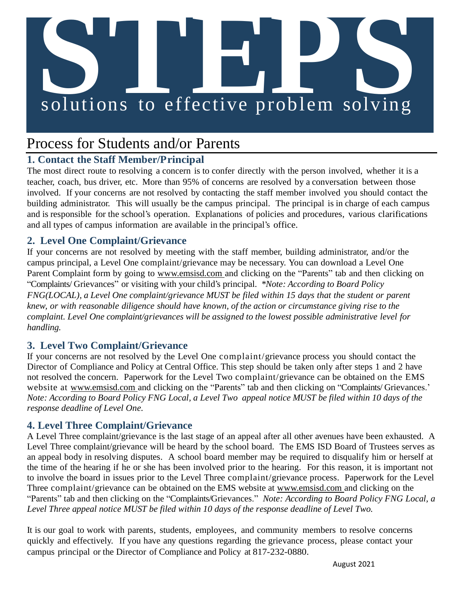# **S**<br> **Solutions** to effective problem solving

# Process for Students and/or Parents

### **1. Contact the Staff Member/Principal**

The most direct route to resolving a concern is to confer directly with the person involved, whether it is a teacher, coach, bus driver, etc. More than 95% of concerns are resolved by a conversation between those involved. If your concerns are not resolved by contacting the staff member involved you should contact the building administrator. This will usually be the campus principal. The principal is in charge of each campus and is responsible for the school's operation. Explanations of policies and procedures, various clarifications and all types of campus information are available in the principal's office.

### **2. Level One Complaint/Grievance**

If your concerns are not resolved by meeting with the staff member, building administrator, and/or the campus principal, a Level One complaint/grievance may be necessary. You can download a Level One Parent Complaint form by going to [www.emsisd.com](http://www.emsisd.com/) and clicking on the "Parents" tab and then clicking on "Complaints/ Grievances" or visiting with your child's principal. *\*Note: According to Board Policy FNG(LOCAL), a Level One complaint/grievance MUST be filed within 15 days that the student or parent knew, or with reasonable diligence should have known, of the action or circumstance giving rise to the complaint. Level One complaint/grievances will be assigned to the lowest possible administrative level for handling.*

### **3. Level Two Complaint/Grievance**

If your concerns are not resolved by the Level One complaint/grievance process you should contact the Director of Compliance and Policy at Central Office. This step should be taken only after steps 1 and 2 have not resolved the concern. Paperwork for the Level Two complaint/grievance can be obtained on the EMS website at [www.emsisd.com a](http://www.emsisd.com/)nd clicking on the "Parents" tab and then clicking on "Complaints/ Grievances." *Note: According to Board Policy FNG Local, a Level Two appeal notice MUST be filed within 10 days of the response deadline of Level One.*

### **4. Level Three Complaint/Grievance**

A Level Three complaint/grievance is the last stage of an appeal after all other avenues have been exhausted. A Level Three complaint/grievance will be heard by the school board. The EMS ISD Board of Trustees serves as an appeal body in resolving disputes. A school board member may be required to disqualify him or herself at the time of the hearing if he or she has been involved prior to the hearing. For this reason, it is important not to involve the board in issues prior to the Level Three complaint/grievance process. Paperwork for the Level Three complaint/grievance can be obtained on the EMS website at [www.emsisd.com a](http://www.emsisd.com/)nd clicking on the "Parents" tab and then clicking on the "Complaints/Grievances." *Note: According to Board Policy FNG Local, a Level Three appeal notice MUST be filed within 10 days of the response deadline of Level Two.*

It is our goal to work with parents, students, employees, and community members to resolve concerns quickly and effectively. If you have any questions regarding the grievance process, please contact your campus principal or the Director of Compliance and Policy at 817-232-0880.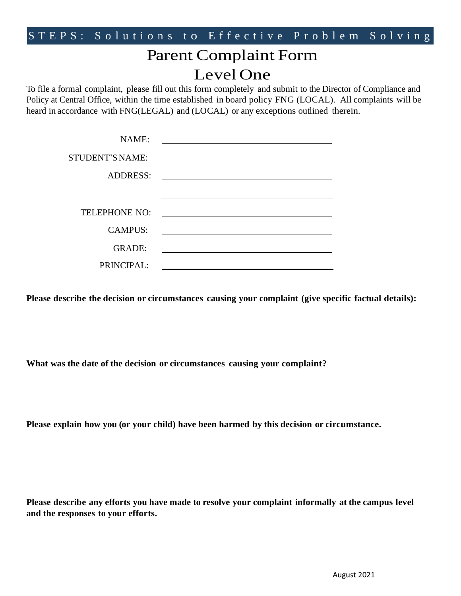# Parent Complaint Form Level One

To file a formal complaint, please fill out this form completely and submit to the Director of Compliance and Policy at Central Office, within the time established in board policy FNG (LOCAL). All complaints will be heard in accordance with FNG(LEGAL) and (LOCAL) or any exceptions outlined therein.

| NAME:                  |                                                                                                                                                                                                                               |
|------------------------|-------------------------------------------------------------------------------------------------------------------------------------------------------------------------------------------------------------------------------|
| <b>STUDENT'S NAME:</b> | the control of the control of the control of the control of the control of the control of the control of the control of the control of the control of the control of the control of the control of the control of the control |
| <b>ADDRESS:</b>        |                                                                                                                                                                                                                               |
|                        |                                                                                                                                                                                                                               |
| <b>TELEPHONE NO:</b>   |                                                                                                                                                                                                                               |
| <b>CAMPUS:</b>         |                                                                                                                                                                                                                               |
| <b>GRADE:</b>          |                                                                                                                                                                                                                               |
| PRINCIPAL:             |                                                                                                                                                                                                                               |

**Please describe the decision or circumstances causing your complaint (give specific factual details):**

**What was the date of the decision or circumstances causing your complaint?**

**Please explain how you (or your child) have been harmed by this decision or circumstance.**

**Please describe any efforts you have made to resolve your complaint informally at the campus level and the responses to your efforts.**